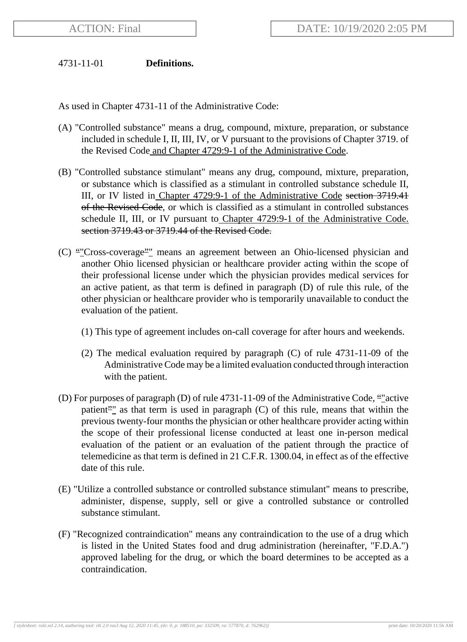### 4731-11-01 **Definitions.**

As used in Chapter 4731-11 of the Administrative Code:

- (A) "Controlled substance" means a drug, compound, mixture, preparation, or substance included in schedule I, II, III, IV, or V pursuant to the provisions of Chapter 3719. of the Revised Code and Chapter 4729:9-1 of the Administrative Code.
- (B) "Controlled substance stimulant" means any drug, compound, mixture, preparation, or substance which is classified as a stimulant in controlled substance schedule II, III, or IV listed in Chapter 4729:9-1 of the Administrative Code section 3719.41 of the Revised Code, or which is classified as a stimulant in controlled substances schedule II, III, or IV pursuant to Chapter 4729:9-1 of the Administrative Code. section 3719.43 or 3719.44 of the Revised Code.
- (C) ""Cross-coverage"" means an agreement between an Ohio-licensed physician and another Ohio licensed physician or healthcare provider acting within the scope of their professional license under which the physician provides medical services for an active patient, as that term is defined in paragraph (D) of rule this rule, of the other physician or healthcare provider who is temporarily unavailable to conduct the evaluation of the patient.
	- (1) This type of agreement includes on-call coverage for after hours and weekends.
	- (2) The medical evaluation required by paragraph (C) of rule 4731-11-09 of the Administrative Code may be a limited evaluation conducted through interaction with the patient.
- (D) For purposes of paragraph (D) of rule  $4731-11-09$  of the Administrative Code, "*"* active patient<sup>2</sup>" as that term is used in paragraph  $(C)$  of this rule, means that within the previous twenty-four months the physician or other healthcare provider acting within the scope of their professional license conducted at least one in-person medical evaluation of the patient or an evaluation of the patient through the practice of telemedicine as that term is defined in 21 C.F.R. 1300.04, in effect as of the effective date of this rule.
- (E) "Utilize a controlled substance or controlled substance stimulant" means to prescribe, administer, dispense, supply, sell or give a controlled substance or controlled substance stimulant.
- (F) "Recognized contraindication" means any contraindication to the use of a drug which is listed in the United States food and drug administration (hereinafter, "F.D.A.") approved labeling for the drug, or which the board determines to be accepted as a contraindication.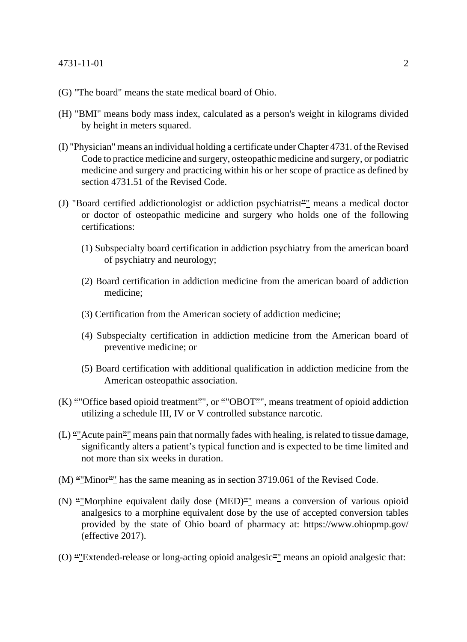#### 4731-11-01 2

- (G) "The board" means the state medical board of Ohio.
- (H) "BMI" means body mass index, calculated as a person's weight in kilograms divided by height in meters squared.
- (I) "Physician" means an individual holding a certificate under Chapter 4731. of the Revised Code to practice medicine and surgery, osteopathic medicine and surgery, or podiatric medicine and surgery and practicing within his or her scope of practice as defined by section 4731.51 of the Revised Code.
- (J) "Board certified addictionologist or addiction psychiatrist"" means a medical doctor or doctor of osteopathic medicine and surgery who holds one of the following certifications:
	- (1) Subspecialty board certification in addiction psychiatry from the american board of psychiatry and neurology;
	- (2) Board certification in addiction medicine from the american board of addiction medicine;
	- (3) Certification from the American society of addiction medicine;
	- (4) Subspecialty certification in addiction medicine from the American board of preventive medicine; or
	- (5) Board certification with additional qualification in addiction medicine from the American osteopathic association.
- $(K)$  ""Office based opioid treatment"", or ""OBOT"", means treatment of opioid addiction utilizing a schedule III, IV or V controlled substance narcotic.
- $(L)$  ""Acute pain"" means pain that normally fades with healing, is related to tissue damage, significantly alters a patient's typical function and is expected to be time limited and not more than six weeks in duration.
- $(M)$  ""Minor"" has the same meaning as in section 3719.061 of the Revised Code.
- (N) ""Morphine equivalent daily dose (MED)"" means a conversion of various opioid analgesics to a morphine equivalent dose by the use of accepted conversion tables provided by the state of Ohio board of pharmacy at: https://www.ohiopmp.gov/ (effective 2017).
- (O) ""Extended-release or long-acting opioid analgesic"" means an opioid analgesic that: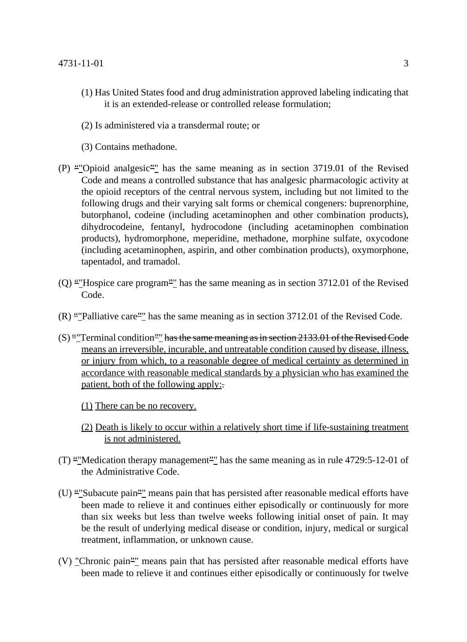- (1) Has United States food and drug administration approved labeling indicating that it is an extended-release or controlled release formulation;
- (2) Is administered via a transdermal route; or
- (3) Contains methadone.
- (P) ""Opioid analgesic"" has the same meaning as in section 3719.01 of the Revised Code and means a controlled substance that has analgesic pharmacologic activity at the opioid receptors of the central nervous system, including but not limited to the following drugs and their varying salt forms or chemical congeners: buprenorphine, butorphanol, codeine (including acetaminophen and other combination products), dihydrocodeine, fentanyl, hydrocodone (including acetaminophen combination products), hydromorphone, meperidine, methadone, morphine sulfate, oxycodone (including acetaminophen, aspirin, and other combination products), oxymorphone, tapentadol, and tramadol.
- $(Q)$  "Thospice care program" has the same meaning as in section 3712.01 of the Revised Code.
- $(R)$  ""Palliative care"" has the same meaning as in section 3712.01 of the Revised Code.
- $(S)$  "Terminal condition"" has the same meaning as in section 2133.01 of the Revised Code means an irreversible, incurable, and untreatable condition caused by disease, illness, or injury from which, to a reasonable degree of medical certainty as determined in accordance with reasonable medical standards by a physician who has examined the patient, both of the following apply:.
	- (1) There can be no recovery.
	- (2) Death is likely to occur within a relatively short time if life-sustaining treatment is not administered.
- (T) ""Medication therapy management"" has the same meaning as in rule  $4729:5-12-01$  of the Administrative Code.
- (U) ""Subacute pain"" means pain that has persisted after reasonable medical efforts have been made to relieve it and continues either episodically or continuously for more than six weeks but less than twelve weeks following initial onset of pain. It may be the result of underlying medical disease or condition, injury, medical or surgical treatment, inflammation, or unknown cause.
- (V) "Chronic pain"" means pain that has persisted after reasonable medical efforts have been made to relieve it and continues either episodically or continuously for twelve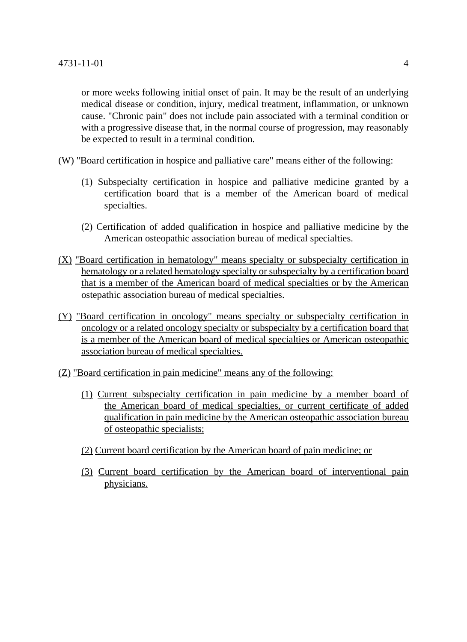or more weeks following initial onset of pain. It may be the result of an underlying medical disease or condition, injury, medical treatment, inflammation, or unknown cause. "Chronic pain" does not include pain associated with a terminal condition or with a progressive disease that, in the normal course of progression, may reasonably be expected to result in a terminal condition.

- (W) "Board certification in hospice and palliative care" means either of the following:
	- (1) Subspecialty certification in hospice and palliative medicine granted by a certification board that is a member of the American board of medical specialties.
	- (2) Certification of added qualification in hospice and palliative medicine by the American osteopathic association bureau of medical specialties.
- (X) "Board certification in hematology" means specialty or subspecialty certification in hematology or a related hematology specialty or subspecialty by a certification board that is a member of the American board of medical specialties or by the American ostepathic association bureau of medical specialties.
- (Y) "Board certification in oncology" means specialty or subspecialty certification in oncology or a related oncology specialty or subspecialty by a certification board that is a member of the American board of medical specialties or American osteopathic association bureau of medical specialties.
- (Z) "Board certification in pain medicine" means any of the following:
	- (1) Current subspecialty certification in pain medicine by a member board of the American board of medical specialties, or current certificate of added qualification in pain medicine by the American osteopathic association bureau of osteopathic specialists;
	- (2) Current board certification by the American board of pain medicine; or
	- (3) Current board certification by the American board of interventional pain physicians.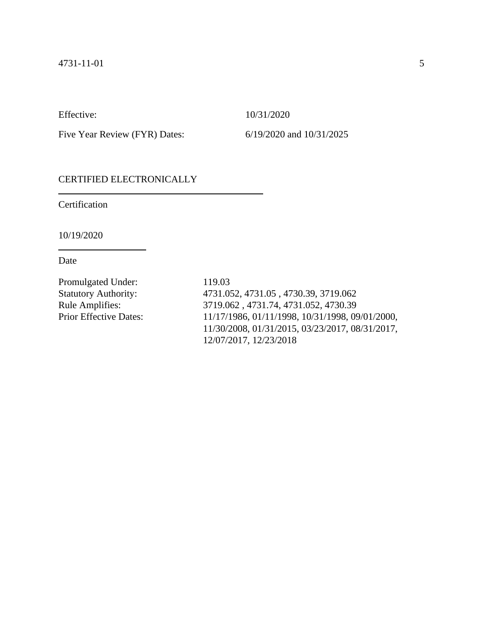Effective: 10/31/2020

Five Year Review (FYR) Dates: 6/19/2020 and 10/31/2025

# CERTIFIED ELECTRONICALLY

Certification

10/19/2020

Date

Promulgated Under: 119.03

Statutory Authority: 4731.052, 4731.05 , 4730.39, 3719.062 Rule Amplifies: 3719.062 , 4731.74, 4731.052, 4730.39 Prior Effective Dates: 11/17/1986, 01/11/1998, 10/31/1998, 09/01/2000, 11/30/2008, 01/31/2015, 03/23/2017, 08/31/2017, 12/07/2017, 12/23/2018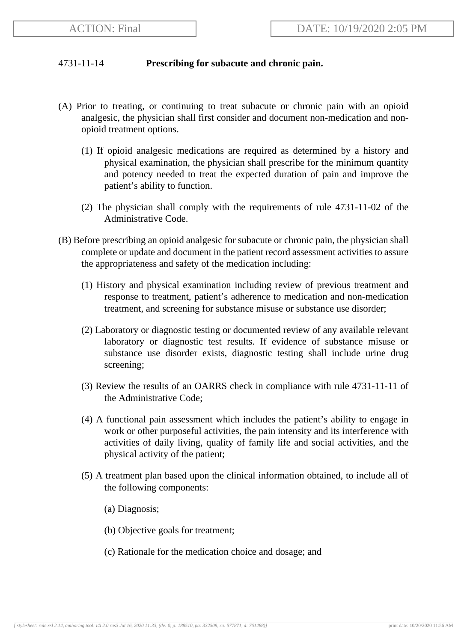# 4731-11-14 **Prescribing for subacute and chronic pain.**

- (A) Prior to treating, or continuing to treat subacute or chronic pain with an opioid analgesic, the physician shall first consider and document non-medication and nonopioid treatment options.
	- (1) If opioid analgesic medications are required as determined by a history and physical examination, the physician shall prescribe for the minimum quantity and potency needed to treat the expected duration of pain and improve the patient's ability to function.
	- (2) The physician shall comply with the requirements of rule 4731-11-02 of the Administrative Code.
- (B) Before prescribing an opioid analgesic for subacute or chronic pain, the physician shall complete or update and document in the patient record assessment activities to assure the appropriateness and safety of the medication including:
	- (1) History and physical examination including review of previous treatment and response to treatment, patient's adherence to medication and non-medication treatment, and screening for substance misuse or substance use disorder;
	- (2) Laboratory or diagnostic testing or documented review of any available relevant laboratory or diagnostic test results. If evidence of substance misuse or substance use disorder exists, diagnostic testing shall include urine drug screening;
	- (3) Review the results of an OARRS check in compliance with rule 4731-11-11 of the Administrative Code;
	- (4) A functional pain assessment which includes the patient's ability to engage in work or other purposeful activities, the pain intensity and its interference with activities of daily living, quality of family life and social activities, and the physical activity of the patient;
	- (5) A treatment plan based upon the clinical information obtained, to include all of the following components:
		- (a) Diagnosis;
		- (b) Objective goals for treatment;
		- (c) Rationale for the medication choice and dosage; and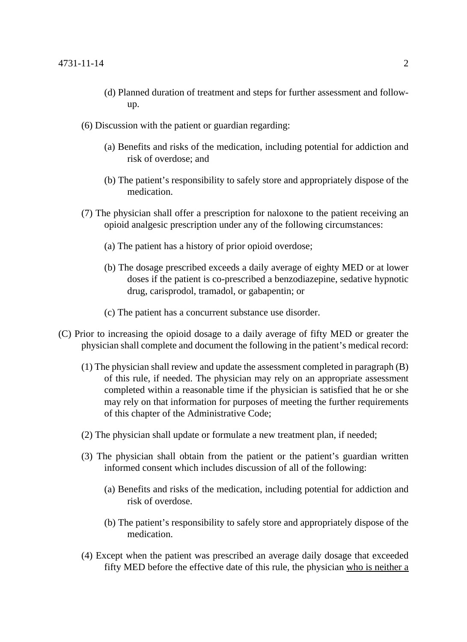- (d) Planned duration of treatment and steps for further assessment and followup.
- (6) Discussion with the patient or guardian regarding:
	- (a) Benefits and risks of the medication, including potential for addiction and risk of overdose; and
	- (b) The patient's responsibility to safely store and appropriately dispose of the medication.
- (7) The physician shall offer a prescription for naloxone to the patient receiving an opioid analgesic prescription under any of the following circumstances:
	- (a) The patient has a history of prior opioid overdose;
	- (b) The dosage prescribed exceeds a daily average of eighty MED or at lower doses if the patient is co-prescribed a benzodiazepine, sedative hypnotic drug, carisprodol, tramadol, or gabapentin; or
	- (c) The patient has a concurrent substance use disorder.
- (C) Prior to increasing the opioid dosage to a daily average of fifty MED or greater the physician shall complete and document the following in the patient's medical record:
	- (1) The physician shall review and update the assessment completed in paragraph (B) of this rule, if needed. The physician may rely on an appropriate assessment completed within a reasonable time if the physician is satisfied that he or she may rely on that information for purposes of meeting the further requirements of this chapter of the Administrative Code;
	- (2) The physician shall update or formulate a new treatment plan, if needed;
	- (3) The physician shall obtain from the patient or the patient's guardian written informed consent which includes discussion of all of the following:
		- (a) Benefits and risks of the medication, including potential for addiction and risk of overdose.
		- (b) The patient's responsibility to safely store and appropriately dispose of the medication.
	- (4) Except when the patient was prescribed an average daily dosage that exceeded fifty MED before the effective date of this rule, the physician who is neither a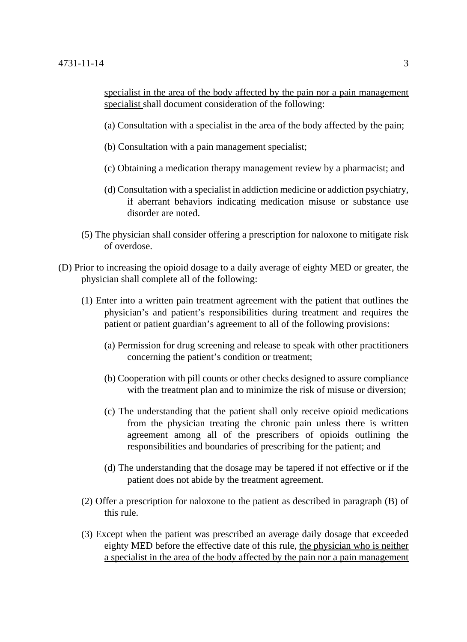specialist in the area of the body affected by the pain nor a pain management specialist shall document consideration of the following:

- (a) Consultation with a specialist in the area of the body affected by the pain;
- (b) Consultation with a pain management specialist;
- (c) Obtaining a medication therapy management review by a pharmacist; and
- (d) Consultation with a specialist in addiction medicine or addiction psychiatry, if aberrant behaviors indicating medication misuse or substance use disorder are noted.
- (5) The physician shall consider offering a prescription for naloxone to mitigate risk of overdose.
- (D) Prior to increasing the opioid dosage to a daily average of eighty MED or greater, the physician shall complete all of the following:
	- (1) Enter into a written pain treatment agreement with the patient that outlines the physician's and patient's responsibilities during treatment and requires the patient or patient guardian's agreement to all of the following provisions:
		- (a) Permission for drug screening and release to speak with other practitioners concerning the patient's condition or treatment;
		- (b) Cooperation with pill counts or other checks designed to assure compliance with the treatment plan and to minimize the risk of misuse or diversion;
		- (c) The understanding that the patient shall only receive opioid medications from the physician treating the chronic pain unless there is written agreement among all of the prescribers of opioids outlining the responsibilities and boundaries of prescribing for the patient; and
		- (d) The understanding that the dosage may be tapered if not effective or if the patient does not abide by the treatment agreement.
	- (2) Offer a prescription for naloxone to the patient as described in paragraph (B) of this rule.
	- (3) Except when the patient was prescribed an average daily dosage that exceeded eighty MED before the effective date of this rule, the physician who is neither a specialist in the area of the body affected by the pain nor a pain management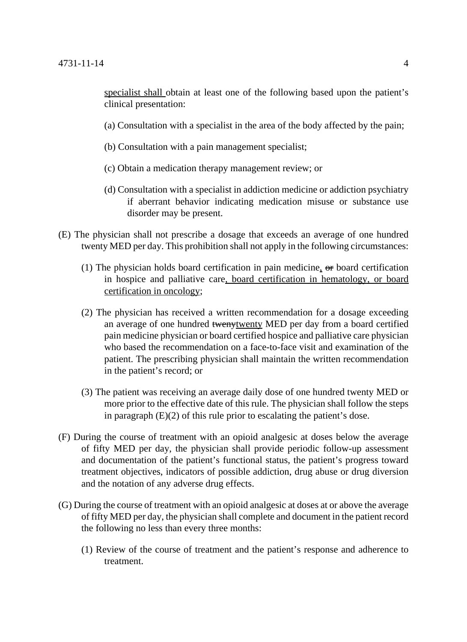specialist shall obtain at least one of the following based upon the patient's clinical presentation:

- (a) Consultation with a specialist in the area of the body affected by the pain;
- (b) Consultation with a pain management specialist;
- (c) Obtain a medication therapy management review; or
- (d) Consultation with a specialist in addiction medicine or addiction psychiatry if aberrant behavior indicating medication misuse or substance use disorder may be present.
- (E) The physician shall not prescribe a dosage that exceeds an average of one hundred twenty MED per day. This prohibition shall not apply in the following circumstances:
	- (1) The physician holds board certification in pain medicine,  $\Theta$ r board certification in hospice and palliative care, board certification in hematology, or board certification in oncology;
	- (2) The physician has received a written recommendation for a dosage exceeding an average of one hundred twenytwenty MED per day from a board certified pain medicine physician or board certified hospice and palliative care physician who based the recommendation on a face-to-face visit and examination of the patient. The prescribing physician shall maintain the written recommendation in the patient's record; or
	- (3) The patient was receiving an average daily dose of one hundred twenty MED or more prior to the effective date of this rule. The physician shall follow the steps in paragraph (E)(2) of this rule prior to escalating the patient's dose.
- (F) During the course of treatment with an opioid analgesic at doses below the average of fifty MED per day, the physician shall provide periodic follow-up assessment and documentation of the patient's functional status, the patient's progress toward treatment objectives, indicators of possible addiction, drug abuse or drug diversion and the notation of any adverse drug effects.
- (G) During the course of treatment with an opioid analgesic at doses at or above the average of fifty MED per day, the physician shall complete and document in the patient record the following no less than every three months:
	- (1) Review of the course of treatment and the patient's response and adherence to treatment.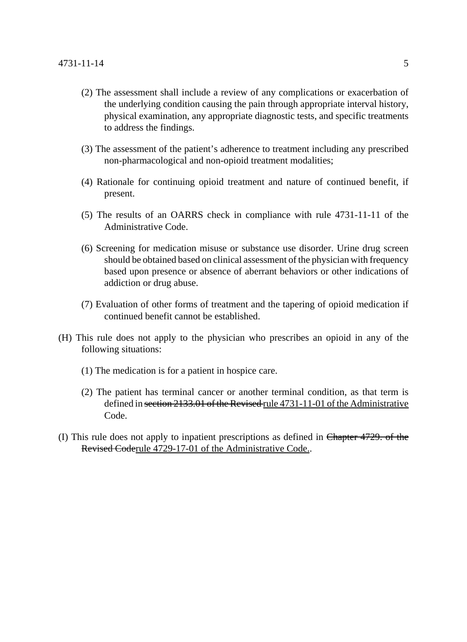- (2) The assessment shall include a review of any complications or exacerbation of the underlying condition causing the pain through appropriate interval history, physical examination, any appropriate diagnostic tests, and specific treatments to address the findings.
- (3) The assessment of the patient's adherence to treatment including any prescribed non-pharmacological and non-opioid treatment modalities;
- (4) Rationale for continuing opioid treatment and nature of continued benefit, if present.
- (5) The results of an OARRS check in compliance with rule 4731-11-11 of the Administrative Code.
- (6) Screening for medication misuse or substance use disorder. Urine drug screen should be obtained based on clinical assessment of the physician with frequency based upon presence or absence of aberrant behaviors or other indications of addiction or drug abuse.
- (7) Evaluation of other forms of treatment and the tapering of opioid medication if continued benefit cannot be established.
- (H) This rule does not apply to the physician who prescribes an opioid in any of the following situations:
	- (1) The medication is for a patient in hospice care.
	- (2) The patient has terminal cancer or another terminal condition, as that term is defined in section 2133.01 of the Revised rule 4731-11-01 of the Administrative Code.
- (I) This rule does not apply to inpatient prescriptions as defined in Chapter 4729. of the Revised Coderule 4729-17-01 of the Administrative Code..